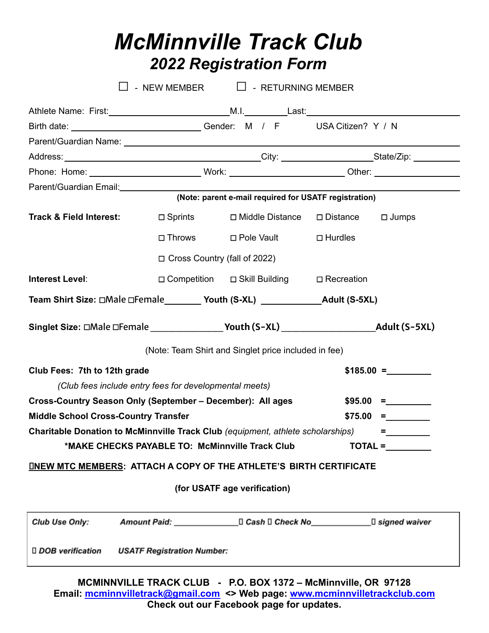# *McMinnville Track Club 2022 Registration Form*

|                                                                                               | - NEW MEMBER $\Box$ - RETURNING MEMBER                 |                                                      |                   |                                                       |             |  |  |
|-----------------------------------------------------------------------------------------------|--------------------------------------------------------|------------------------------------------------------|-------------------|-------------------------------------------------------|-------------|--|--|
|                                                                                               |                                                        |                                                      |                   |                                                       |             |  |  |
| Birth date: ________________________________Gender: M / F USA Citizen? Y / N                  |                                                        |                                                      |                   |                                                       |             |  |  |
|                                                                                               |                                                        |                                                      |                   |                                                       |             |  |  |
|                                                                                               |                                                        |                                                      |                   |                                                       |             |  |  |
|                                                                                               |                                                        |                                                      |                   |                                                       |             |  |  |
| Parent/Guardian Email:<br><u>Parent/Guardian Email:</u>                                       |                                                        |                                                      |                   | (Note: parent e-mail required for USATF registration) |             |  |  |
| <b>Track &amp; Field Interest:</b>                                                            | $\Box$ Sprints                                         |                                                      | □ Middle Distance | □ Distance □ Jumps                                    |             |  |  |
|                                                                                               |                                                        | □ Throws □ Pole Vault                                |                   | $\Box$ Hurdles                                        |             |  |  |
| $\Box$ Cross Country (fall of 2022)                                                           |                                                        |                                                      |                   |                                                       |             |  |  |
| Interest Level:                                                                               |                                                        |                                                      |                   | □ Competition □ Skill Building □ Recreation           |             |  |  |
| Team Shirt Size: □Male □Female _________ Youth (S-XL) __________________________Adult (S-5XL) |                                                        |                                                      |                   |                                                       |             |  |  |
|                                                                                               |                                                        |                                                      |                   |                                                       |             |  |  |
|                                                                                               |                                                        | (Note: Team Shirt and Singlet price included in fee) |                   |                                                       |             |  |  |
| Club Fees: 7th to 12th grade                                                                  |                                                        |                                                      |                   |                                                       | $$185.00 =$ |  |  |
|                                                                                               | (Club fees include entry fees for developmental meets) |                                                      |                   |                                                       |             |  |  |
| Cross-Country Season Only (September - December): All ages                                    |                                                        |                                                      |                   |                                                       | $$95.00 =$  |  |  |
| <b>Middle School Cross-Country Transfer</b>                                                   |                                                        |                                                      |                   |                                                       | $$75.00 =$  |  |  |
| Charitable Donation to McMinnville Track Club (equipment, athlete scholarships)               |                                                        |                                                      |                   |                                                       | =           |  |  |
|                                                                                               | *MAKE CHECKS PAYABLE TO: McMinnville Track Club        |                                                      |                   |                                                       | TOTAL =     |  |  |
| <b>INEW MTC MEMBERS: ATTACH A COPY OF THE ATHLETE'S BIRTH CERTIFICATE</b>                     |                                                        |                                                      |                   |                                                       |             |  |  |
|                                                                                               |                                                        | (for USATF age verification)                         |                   |                                                       |             |  |  |
| Club Use Only:                                                                                |                                                        |                                                      |                   |                                                       |             |  |  |
| □ DOB verification                                                                            | <b>USATF Registration Number:</b>                      |                                                      |                   |                                                       |             |  |  |

**MCMINNVILLE TRACK CLUB - P.O. BOX 1372 – McMinnville, OR 97128 Email: [mcminnvilletrack@gmail.com](mailto:mcminnvilletrack@gmail.com) <> Web page: [www.mcminnvilletrackclub.com](http://www.mcminnvilletrackclub.com) Check out our Facebook page for updates.**